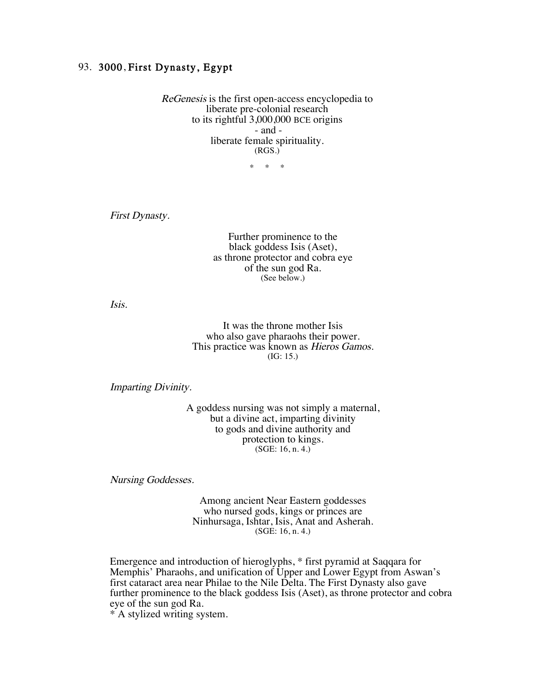## 93. 3000, First Dynasty, Egypt

ReGenesis is the first open-access encyclopedia to liberate pre-colonial research to its rightful 3,000,000 BCE origins - and liberate female spirituality. (RGS.)

\* \* \*

First Dynasty.

Further prominence to the black goddess Isis (Aset), as throne protector and cobra eye of the sun god Ra. (See below.)

Isis.

It was the throne mother Isis who also gave pharaohs their power. This practice was known as Hieros Gamos. (IG: 15.)

Imparting Divinity.

A goddess nursing was not simply a maternal, but a divine act, imparting divinity to gods and divine authority and protection to kings. (SGE: 16, n. 4.)

Nursing Goddesses.

Among ancient Near Eastern goddesses who nursed gods, kings or princes are Ninhursaga, Ishtar, Isis, Anat and Asherah. (SGE: 16, n. 4.)

Emergence and introduction of hieroglyphs, \* first pyramid at Saqqara for Memphis' Pharaohs, and unification of Upper and Lower Egypt from Aswan's first cataract area near Philae to the Nile Delta. The First Dynasty also gave further prominence to the black goddess Isis (Aset), as throne protector and cobra eye of the sun god Ra.

\* A stylized writing system.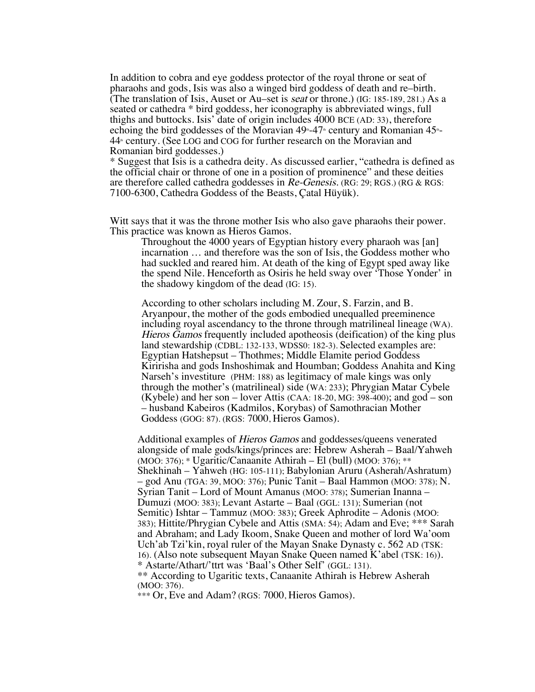In addition to cobra and eye goddess protector of the royal throne or seat of pharaohs and gods, Isis was also a winged bird goddess of death and re–birth. (The translation of Isis, Auset or Au–set is seat or throne.) (IG: 185-189, 281.) As a seated or cathedra \* bird goddess, her iconography is abbreviated wings, full thighs and buttocks. Isis' date of origin includes 4000 BCE (AD: 33), therefore echoing the bird goddesses of the Moravian  $49$  -47  $\circ$  century and Romanian 45  $\circ$ - $44<sup>*</sup>$  century. (See LOG and COG for further research on the Moravian and Romanian bird goddesses.)

\* Suggest that Isis is a cathedra deity. As discussed earlier, "cathedra is defined as the official chair or throne of one in a position of prominence" and these deities are therefore called cathedra goddesses in Re-Genesis. (RG: 29; RGS.) (RG & RGS: 7100-6300, Cathedra Goddess of the Beasts, Çatal Hüyük).

Witt says that it was the throne mother Isis who also gave pharaohs their power. This practice was known as Hieros Gamos.

Throughout the 4000 years of Egyptian history every pharaoh was [an] incarnation … and therefore was the son of Isis, the Goddess mother who had suckled and reared him. At death of the king of Egypt sped away like the spend Nile. Henceforth as Osiris he held sway over 'Those Yonder' in the shadowy kingdom of the dead (IG: 15).

According to other scholars including M. Zour, S. Farzin, and B. Aryanpour, the mother of the gods embodied unequalled preeminence including royal ascendancy to the throne through matrilineal lineage (WA). Hieros Gamos frequently included apotheosis (deification) of the king plus land stewardship (CDBL: 132-133, WDSS0: 182-3). Selected examples are: Egyptian Hatshepsut – Thothmes; Middle Elamite period Goddess Kiririsha and gods Inshoshimak and Houmban; Goddess Anahita and King Narseh's investiture (PHM: 188) as legitimacy of male kings was only through the mother's (matrilineal) side (WA: 233); Phrygian Matar Cybele (Kybele) and her son – lover Attis (CAA: 18-20, MG: 398-400); and god – son – husband Kabeiros (Kadmilos, Korybas) of Samothracian Mother Goddess (GOG: 87). (RGS: 7000, Hieros Gamos).

Additional examples of Hieros Gamos and goddesses/queens venerated alongside of male gods/kings/princes are: Hebrew Asherah – Baal/Yahweh (MOO: 376); \* Ugaritic/Canaanite Athirah – El (bull) (MOO: 376); \*\* Shekhinah – Yahweh (HG: 105-111); Babylonian Aruru (Asherah/Ashratum) – god Anu (TGA: 39, MOO: 376); Punic Tanit – Baal Hammon (MOO: 378); N. Syrian Tanit – Lord of Mount Amanus (MOO: 378); Sumerian Inanna – Dumuzi (MOO: 383); Levant Astarte – Baal (GGL: 131); Sumerian (not Semitic) Ishtar – Tammuz (MOO: 383); Greek Aphrodite – Adonis (MOO: 383); Hittite/Phrygian Cybele and Attis (SMA: 54); Adam and Eve; \*\*\* Sarah and Abraham; and Lady Ikoom, Snake Queen and mother of lord Wa'oom Uch'ab Tzi'kin, royal ruler of the Mayan Snake Dynasty c. 562 AD (TSK: 16). (Also note subsequent Mayan Snake Queen named K'abel (TSK: 16)). \* Astarte/Athart/'ttrt was 'Baal's Other Self' (GGL: 131). \*\* According to Ugaritic texts, Canaanite Athirah is Hebrew Asherah

(MOO: 376).

\*\*\* Or, Eve and Adam? (RGS: 7000, Hieros Gamos).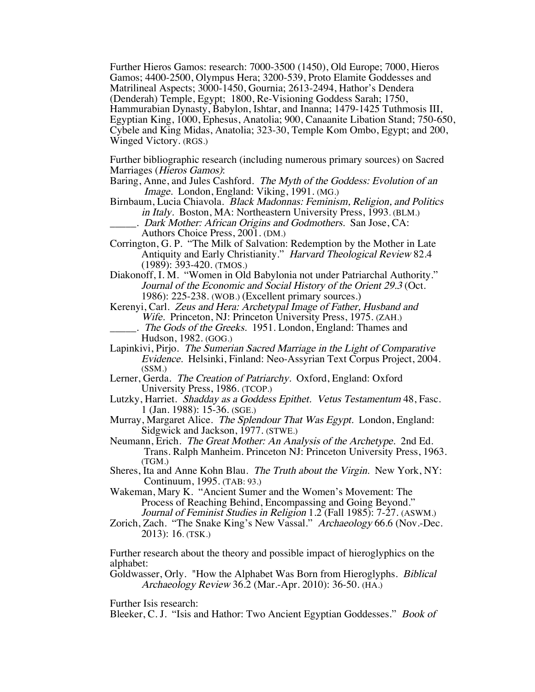Further Hieros Gamos: research: 7000-3500 (1450), Old Europe; 7000, Hieros Gamos; 4400-2500, Olympus Hera; 3200-539, Proto Elamite Goddesses and Matrilineal Aspects; 3000-1450, Gournia; 2613-2494, Hathor's Dendera (Denderah) Temple, Egypt; 1800, Re-Visioning Goddess Sarah; 1750, Hammurabian Dynasty, Babylon, Ishtar, and Inanna; 1479-1425 Tuthmosis III, Egyptian King, 1000, Ephesus, Anatolia; 900, Canaanite Libation Stand; 750-650, Cybele and King Midas, Anatolia; 323-30, Temple Kom Ombo, Egypt; and 200, Winged Victory. (RGS.)

Further bibliographic research (including numerous primary sources) on Sacred Marriages (Hieros Gamos):

- Baring, Anne, and Jules Cashford. The Myth of the Goddess: Evolution of an Image. London, England: Viking, 1991. (MG.)
- Birnbaum, Lucia Chiavola. Black Madonnas: Feminism, Religion, and Politics in Italy. Boston, MA: Northeastern University Press, 1993. (BLM.)
	- . Dark Mother: African Origins and Godmothers. San Jose, CA: Authors Choice Press, 2001. (DM.)
- Corrington, G. P. "The Milk of Salvation: Redemption by the Mother in Late Antiquity and Early Christianity." Harvard Theological Review 82.4 (1989): 393-420. (TMOS.)
- Diakonoff, I. M. "Women in Old Babylonia not under Patriarchal Authority." Journal of the Economic and Social History of the Orient 29.3 (Oct. 1986): 225-238. (WOB.) (Excellent primary sources.)
- Kerenyi, Carl. Zeus and Hera: Archetypal Image of Father, Husband and Wife. Princeton, NJ: Princeton University Press, 1975. (ZAH.) . The Gods of the Greeks. 1951. London, England: Thames and Hudson, 1982. (GOG.)
- Lapinkivi, Pirjo. The Sumerian Sacred Marriage in the Light of Comparative Evidence. Helsinki, Finland: Neo-Assyrian Text Corpus Project, 2004. (SSM.)
- Lerner, Gerda. The Creation of Patriarchy. Oxford, England: Oxford University Press, 1986. (TCOP.)
- Lutzky, Harriet. Shadday as a Goddess Epithet. Vetus Testamentum 48, Fasc. 1 (Jan. 1988): 15-36. (SGE.)
- Murray, Margaret Alice. The Splendour That Was Egypt. London, England: Sidgwick and Jackson, 1977. (STWE.)
- Neumann, Erich. The Great Mother: An Analysis of the Archetype. 2nd Ed. Trans. Ralph Manheim. Princeton NJ: Princeton University Press, 1963. (TGM.)
- Sheres, Ita and Anne Kohn Blau. The Truth about the Virgin. New York, NY: Continuum, 1995. (TAB: 93.)
- Wakeman, Mary K. "Ancient Sumer and the Women's Movement: The Process of Reaching Behind, Encompassing and Going Beyond." Journal of Feminist Studies in Religion 1.2 (Fall 1985): 7-27. (ASWM.)
- Zorich, Zach. "The Snake King's New Vassal." Archaeology 66.6 (Nov.-Dec. 2013): 16. (TSK.)

Further research about the theory and possible impact of hieroglyphics on the alphabet:

Goldwasser, Orly. "How the Alphabet Was Born from Hieroglyphs. Biblical Archaeology Review 36.2 (Mar.-Apr. 2010): 36-50. (HA.)

Further Isis research:

Bleeker, C. J. "Isis and Hathor: Two Ancient Egyptian Goddesses." Book of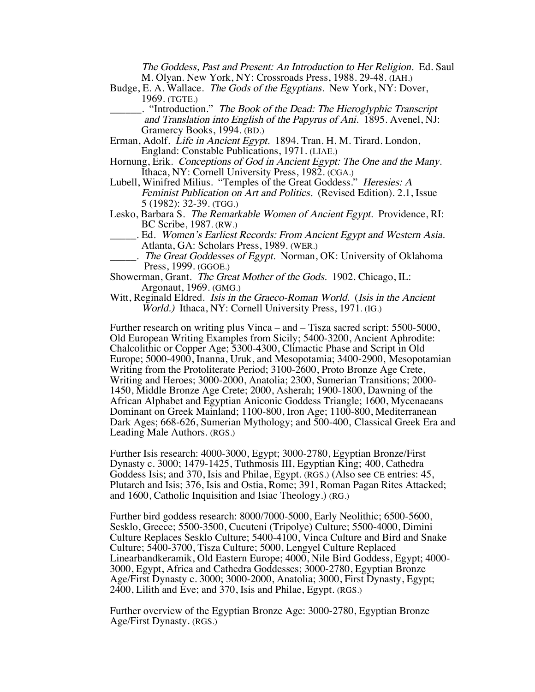The Goddess, Past and Present: An Introduction to Her Religion. Ed. Saul M. Olyan. New York, NY: Crossroads Press, 1988. 29-48. (IAH.)

- Budge, E. A. Wallace. The Gods of the Egyptians. New York, NY: Dover, 1969. (TGTE.)
	- \_\_\_\_\_\_. "Introduction." The Book of the Dead: The Hieroglyphic Transcript and Translation into English of the Papyrus of Ani. 1895. Avenel, NJ: Gramercy Books, 1994. (BD.)
- Erman, Adolf. Life in Ancient Egypt. 1894. Tran. H. M. Tirard. London, England: Constable Publications, 1971. (LIAE.)
- Hornung, Erik. Conceptions of God in Ancient Egypt: The One and the Many. Ithaca, NY: Cornell University Press, 1982. (CGA.)
- Lubell, Winifred Milius. "Temples of the Great Goddess." Heresies: A Feminist Publication on Art and Politics. (Revised Edition). 2.1, Issue 5 (1982): 32-39. (TGG.)
- Lesko, Barbara S. The Remarkable Women of Ancient Egypt. Providence, RI: BC Scribe, 1987. (RW.)
	- \_\_\_\_\_. Ed. Women's Earliest Records: From Ancient Egypt and Western Asia. Atlanta, GA: Scholars Press, 1989. (WER.)
- . The Great Goddesses of Egypt. Norman, OK: University of Oklahoma Press, 1999. (GGOE.)
- Showerman, Grant. The Great Mother of the Gods. 1902. Chicago, IL: Argonaut, 1969. (GMG.)
- Witt, Reginald Eldred. Isis in the Graeco-Roman World. (Isis in the Ancient World.) Ithaca, NY: Cornell University Press, 1971. (IG.)

Further research on writing plus Vinca – and – Tisza sacred script: 5500-5000, Old European Writing Examples from Sicily; 5400-3200, Ancient Aphrodite: Chalcolithic or Copper Age; 5300-4300, Climactic Phase and Script in Old Europe; 5000-4900, Inanna, Uruk, and Mesopotamia; 3400-2900, Mesopotamian Writing from the Protoliterate Period; 3100-2600, Proto Bronze Age Crete, Writing and Heroes; 3000-2000, Anatolia; 2300, Sumerian Transitions; 2000- 1450, Middle Bronze Age Crete; 2000, Asherah; 1900-1800, Dawning of the African Alphabet and Egyptian Aniconic Goddess Triangle; 1600, Mycenaeans Dominant on Greek Mainland; 1100-800, Iron Age; 1100-800, Mediterranean Dark Ages; 668-626, Sumerian Mythology; and 500-400, Classical Greek Era and Leading Male Authors. (RGS.)

Further Isis research: 4000-3000, Egypt; 3000-2780, Egyptian Bronze/First Dynasty c. 3000; 1479-1425, Tuthmosis III, Egyptian King; 400, Cathedra Goddess Isis; and 370, Isis and Philae, Egypt. (RGS.) (Also see CE entries: 45, Plutarch and Isis; 376, Isis and Ostia, Rome; 391, Roman Pagan Rites Attacked; and 1600, Catholic Inquisition and Isiac Theology.) (RG.)

Further bird goddess research: 8000/7000-5000, Early Neolithic; 6500-5600, Sesklo, Greece; 5500-3500, Cucuteni (Tripolye) Culture; 5500-4000, Dimini Culture Replaces Sesklo Culture; 5400-4100, Vinca Culture and Bird and Snake Culture; 5400-3700, Tisza Culture; 5000, Lengyel Culture Replaced Linearbandkeramik, Old Eastern Europe; 4000, Nile Bird Goddess, Egypt; 4000- 3000, Egypt, Africa and Cathedra Goddesses; 3000-2780, Egyptian Bronze Age/First Dynasty c. 3000; 3000-2000, Anatolia; 3000, First Dynasty, Egypt; 2400, Lilith and Eve; and 370, Isis and Philae, Egypt. (RGS.)

Further overview of the Egyptian Bronze Age: 3000-2780, Egyptian Bronze Age/First Dynasty. (RGS.)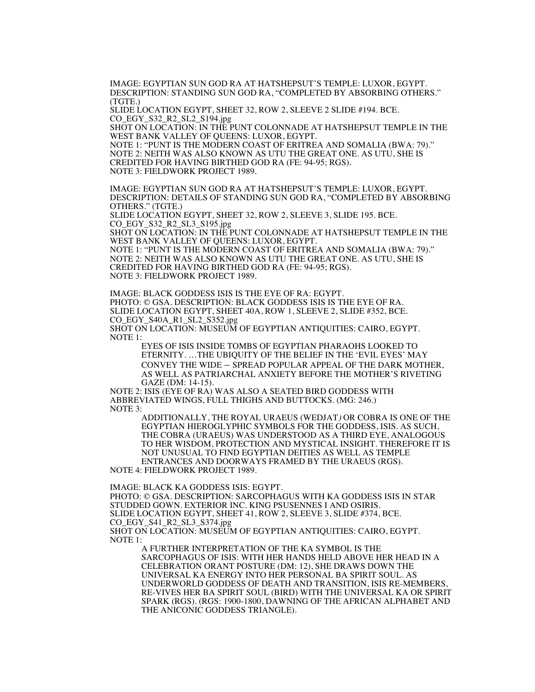IMAGE: EGYPTIAN SUN GOD RA AT HATSHEPSUT'S TEMPLE: LUXOR, EGYPT. DESCRIPTION: STANDING SUN GOD RA, "COMPLETED BY ABSORBING OTHERS." (TGTE.)

SLIDE LOCATION EGYPT, SHEET 32, ROW 2, SLEEVE 2 SLIDE #194. BCE. CO\_EGY\_S32\_R2\_SL2\_S194.jpg

SHOT ON LOCATION: IN THE PUNT COLONNADE AT HATSHEPSUT TEMPLE IN THE WEST BANK VALLEY OF QUEENS: LUXOR, EGYPT.

NOTE 1: "PUNT IS THE MODERN COAST OF ERITREA AND SOMALIA (BWA: 79)." NOTE 2: NEITH WAS ALSO KNOWN AS UTU THE GREAT ONE. AS UTU, SHE IS CREDITED FOR HAVING BIRTHED GOD RA (FE: 94-95; RGS). NOTE 3: FIELDWORK PROJECT 1989.

IMAGE: EGYPTIAN SUN GOD RA AT HATSHEPSUT'S TEMPLE: LUXOR, EGYPT. DESCRIPTION: DETAILS OF STANDING SUN GOD RA, "COMPLETED BY ABSORBING OTHERS." (TGTE.)

SLIDE LOCATION EGYPT, SHEET 32, ROW 2, SLEEVE 3, SLIDE 195. BCE. CO\_EGY\_S32\_R2\_SL3\_S195.jpg

SHOT ON LOCATION: IN THE PUNT COLONNADE AT HATSHEPSUT TEMPLE IN THE WEST BANK VALLEY OF QUEENS: LUXOR, EGYPT.

NOTE 1: "PUNT IS THE MODERN COAST OF ERITREA AND SOMALIA (BWA: 79)." NOTE 2: NEITH WAS ALSO KNOWN AS UTU THE GREAT ONE. AS UTU, SHE IS CREDITED FOR HAVING BIRTHED GOD RA (FE: 94-95; RGS). NOTE 3: FIELDWORK PROJECT 1989.

IMAGE: BLACK GODDESS ISIS IS THE EYE OF RA: EGYPT. PHOTO: © GSA. DESCRIPTION: BLACK GODDESS ISIS IS THE EYE OF RA. SLIDE LOCATION EGYPT, SHEET 40A, ROW 1, SLEEVE 2, SLIDE #352, BCE. CO\_EGY\_S40A\_R1\_SL2\_S352.jpg

SHOT ON LOCATION: MUSEUM OF EGYPTIAN ANTIQUITIES: CAIRO, EGYPT. NOTE 1:

EYES OF ISIS INSIDE TOMBS OF EGYPTIAN PHARAOHS LOOKED TO ETERNITY. …THE UBIQUITY OF THE BELIEF IN THE 'EVIL EYES' MAY CONVEY THE WIDE – SPREAD POPULAR APPEAL OF THE DARK MOTHER, AS WELL AS PATRIARCHAL ANXIETY BEFORE THE MOTHER'S RIVETING GAZE (DM: 14-15).

NOTE 2: ISIS (EYE OF RA) WAS ALSO A SEATED BIRD GODDESS WITH ABBREVIATED WINGS, FULL THIGHS AND BUTTOCKS. (MG: 246.) NOTE 3:

ADDITIONALLY, THE ROYAL URAEUS (WEDJAT) OR COBRA IS ONE OF THE EGYPTIAN HIEROGLYPHIC SYMBOLS FOR THE GODDESS, ISIS. AS SUCH, THE COBRA (URAEUS) WAS UNDERSTOOD AS A THIRD EYE, ANALOGOUS TO HER WISDOM, PROTECTION AND MYSTICAL INSIGHT. THEREFORE IT IS NOT UNUSUAL TO FIND EGYPTIAN DEITIES AS WELL AS TEMPLE ENTRANCES AND DOORWAYS FRAMED BY THE URAEUS (RGS).

NOTE 4: FIELDWORK PROJECT 1989.

IMAGE: BLACK KA GODDESS ISIS: EGYPT.

PHOTO: © GSA. DESCRIPTION: SARCOPHAGUS WITH KA GODDESS ISIS IN STAR STUDDED GOWN. EXTERIOR INC. KING PSUSENNES I AND OSIRIS. SLIDE LOCATION EGYPT, SHEET 41, ROW 2, SLEEVE 3, SLIDE #374, BCE. CO\_EGY\_S41\_R2\_SL3\_S374.jpg

SHOT ON LOCATION: MUSEUM OF EGYPTIAN ANTIQUITIES: CAIRO, EGYPT. NOTE 1:

> A FURTHER INTERPRETATION OF THE KA SYMBOL IS THE SARCOPHAGUS OF ISIS: WITH HER HANDS HELD ABOVE HER HEAD IN A CELEBRATION ORANT POSTURE (DM: 12), SHE DRAWS DOWN THE UNIVERSAL KA ENERGY INTO HER PERSONAL BA SPIRIT SOUL. AS UNDERWORLD GODDESS OF DEATH AND TRANSITION, ISIS RE-MEMBERS, RE-VIVES HER BA SPIRIT SOUL (BIRD) WITH THE UNIVERSAL KA OR SPIRIT SPARK (RGS). (RGS: 1900-1800, DAWNING OF THE AFRICAN ALPHABET AND THE ANICONIC GODDESS TRIANGLE).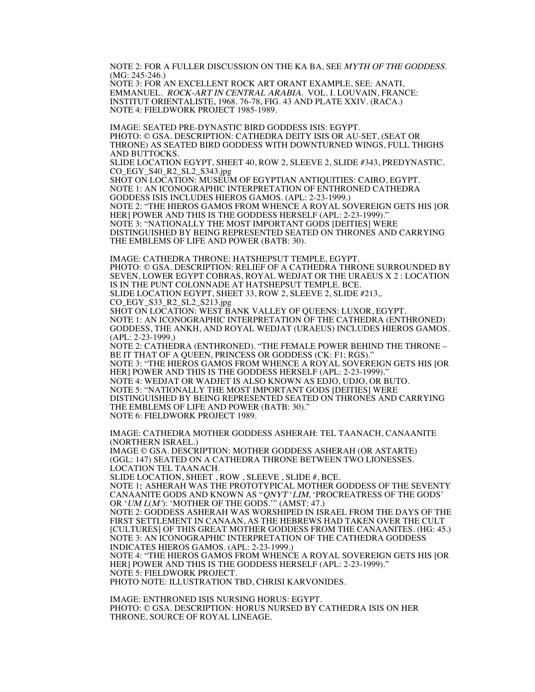NOTE 2: FOR A FULLER DISCUSSION ON THE KA BA, SEE MYTH OF THE GODDESS. (MG: 245-246.)

NOTE 3: FOR AN EXCELLENT ROCK ART ORANT EXAMPLE, SEE: ANATI, EMMANUEL. ROCK-ART IN CENTRAL ARABIA. VOL. I. LOUVAIN, FRANCE: INSTITUT ORIENTALISTE, 1968. 76-78, FIG. 43 AND PLATE XXIV. (RACA.) NOTE 4: FIELDWORK PROJECT 1985-1989.

IMAGE: SEATED PRE-DYNASTIC BIRD GODDESS ISIS: EGYPT. PHOTO: © GSA. DESCRIPTION: CATHEDRA DEITY ISIS OR AU-SET, (SEAT OR THRONE) AS SEATED BIRD GODDESS WITH DOWNTURNED WINGS, FULL THIGHS AND BUTTOCKS.

SLIDE LOCATION EGYPT, SHEET 40, ROW 2, SLEEVE 2, SLIDE #343, PREDYNASTIC. CO\_EGY\_S40\_R2\_SL2\_S343.jpg

SHOT ON LOCATION: MUSEUM OF EGYPTIAN ANTIQUITIES: CAIRO, EGYPT. NOTE 1: AN ICONOGRAPHIC INTERPRETATION OF ENTHRONED CATHEDRA GODDESS ISIS INCLUDES HIEROS GAMOS. (APL: 2-23-1999.) NOTE 2: "THE HIEROS GAMOS FROM WHENCE A ROYAL SOVEREIGN GETS HIS [OR HER] POWER AND THIS IS THE GODDESS HERSELF (APL: 2-23-1999).' NOTE 3: "NATIONALLY THE MOST IMPORTANT GODS [DEITIES] WERE DISTINGUISHED BY BEING REPRESENTED SEATED ON THRONES AND CARRYING THE EMBLEMS OF LIFE AND POWER (BATB: 30).

IMAGE: CATHEDRA THRONE: HATSHEPSUT TEMPLE, EGYPT. PHOTO: © GSA. DESCRIPTION: RELIEF OF A CATHEDRA THRONE SURROUNDED BY SEVEN, LOWER EGYPT COBRAS, ROYAL WEDJAT OR THE URAEUS X 2 : LOCATION IS IN THE PUNT COLONNADE AT HATSHEPSUT TEMPLE. BCE. SLIDE LOCATION EGYPT, SHEET 33, ROW 2, SLEEVE 2, SLIDE #213,. CO\_EGY\_S33\_R2\_SL2\_S213.jpg

SHOT ON LOCATION: WEST BANK VALLEY OF QUEENS: LUXOR, EGYPT. NOTE 1: AN ICONOGRAPHIC INTERPRETATION OF THE CATHEDRA (ENTHRONED) GODDESS, THE ANKH, AND ROYAL WEDJAT (URAEUS) INCLUDES HIEROS GAMOS. (APL: 2-23-1999.)

NOTE 2: CATHEDRA (ENTHRONED). "THE FEMALE POWER BEHIND THE THRONE – BE IT THAT OF A QUEEN, PRINCESS OR GODDESS (CK: F1; RGS)." NOTE 3: "THE HIEROS GAMOS FROM WHENCE A ROYAL SOVEREIGN GETS HIS [OR HER] POWER AND THIS IS THE GODDESS HERSELF (APL: 2-23-1999).' NOTE 4: WEDJAT OR WADJET IS ALSO KNOWN AS EDJO, UDJO, OR BUTO. NOTE 5: "NATIONALLY THE MOST IMPORTANT GODS [DEITIES] WERE DISTINGUISHED BY BEING REPRESENTED SEATED ON THRONES AND CARRYING THE EMBLEMS OF LIFE AND POWER (BATB: 30)." NOTE 6: FIELDWORK PROJECT 1989.

IMAGE: CATHEDRA MOTHER GODDESS ASHERAH: TEL TAANACH, CANAANITE (NORTHERN ISRAEL.) IMAGE © GSA. DESCRIPTION: MOTHER GODDESS ASHERAH (OR ASTARTE) (GGL: 147) SEATED ON A CATHEDRA THRONE BETWEEN TWO LIONESSES. LOCATION TEL TAANACH. SLIDE LOCATION, SHEET , ROW , SLEEVE , SLIDE #, BCE. NOTE 1: ASHERAH WAS THE PROTOTYPICAL MOTHER GODDESS OF THE SEVENTY CANAANITE GODS AND KNOWN AS "QNYT 'LIM, 'PROCREATRESS OF THE GODS' OR 'UM  $L(M)$ : 'MOTHER OF THE GODS.'" (AMST: 47.) NOTE 2: GODDESS ASHERAH WAS WORSHIPED IN ISRAEL FROM THE DAYS OF THE FIRST SETTLEMENT IN CANAAN, AS THE HEBREWS HAD TAKEN OVER THE CULT [CULTURES] OF THIS GREAT MOTHER GODDESS FROM THE CANAANITES. (HG: 45.) NOTE 3: AN ICONOGRAPHIC INTERPRETATION OF THE CATHEDRA GODDESS INDICATES HIEROS GAMOS. (APL: 2-23-1999.) NOTE 4: "THE HIEROS GAMOS FROM WHENCE A ROYAL SOVEREIGN GETS HIS [OR HER] POWER AND THIS IS THE GODDESS HERSELF (APL: 2-23-1999)." NOTE 5: FIELDWORK PROJECT. PHOTO NOTE: ILLUSTRATION TBD, CHRISI KARVONIDES.

IMAGE: ENTHRONED ISIS NURSING HORUS: EGYPT. PHOTO: © GSA. DESCRIPTION: HORUS NURSED BY CATHEDRA ISIS ON HER THRONE, SOURCE OF ROYAL LINEAGE.